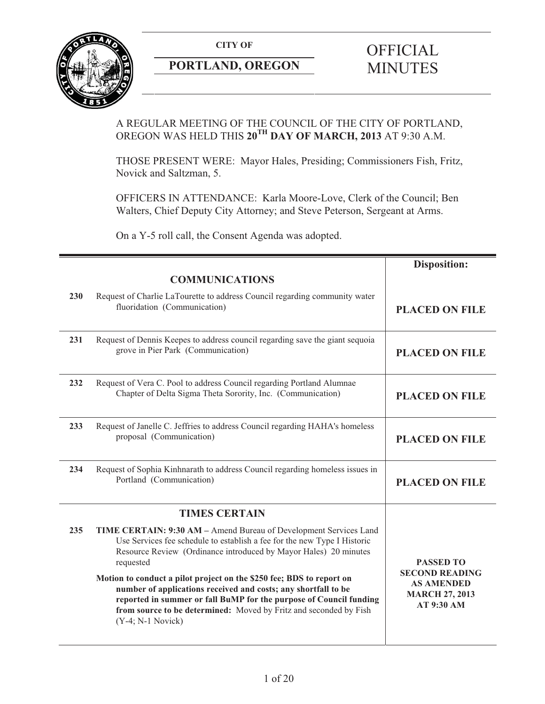**CITY OF** 



# **PORTLAND, OREGON**

# **OFFICIAL** MINUTES

# A REGULAR MEETING OF THE COUNCIL OF THE CITY OF PORTLAND, OREGON WAS HELD THIS **20TH DAY OF MARCH, 2013** AT 9:30 A.M.

THOSE PRESENT WERE: Mayor Hales, Presiding; Commissioners Fish, Fritz, Novick and Saltzman, 5.

OFFICERS IN ATTENDANCE: Karla Moore-Love, Clerk of the Council; Ben Walters, Chief Deputy City Attorney; and Steve Peterson, Sergeant at Arms.

On a Y-5 roll call, the Consent Agenda was adopted.

|     |                                                                                                                                                                                                                                                                                                                                                                                                                                                                                                                                            | <b>Disposition:</b>                                                                                   |
|-----|--------------------------------------------------------------------------------------------------------------------------------------------------------------------------------------------------------------------------------------------------------------------------------------------------------------------------------------------------------------------------------------------------------------------------------------------------------------------------------------------------------------------------------------------|-------------------------------------------------------------------------------------------------------|
|     | <b>COMMUNICATIONS</b>                                                                                                                                                                                                                                                                                                                                                                                                                                                                                                                      |                                                                                                       |
| 230 | Request of Charlie LaTourette to address Council regarding community water<br>fluoridation (Communication)                                                                                                                                                                                                                                                                                                                                                                                                                                 | <b>PLACED ON FILE</b>                                                                                 |
| 231 | Request of Dennis Keepes to address council regarding save the giant sequoia<br>grove in Pier Park (Communication)                                                                                                                                                                                                                                                                                                                                                                                                                         | <b>PLACED ON FILE</b>                                                                                 |
| 232 | Request of Vera C. Pool to address Council regarding Portland Alumnae<br>Chapter of Delta Sigma Theta Sorority, Inc. (Communication)                                                                                                                                                                                                                                                                                                                                                                                                       | <b>PLACED ON FILE</b>                                                                                 |
| 233 | Request of Janelle C. Jeffries to address Council regarding HAHA's homeless<br>proposal (Communication)                                                                                                                                                                                                                                                                                                                                                                                                                                    | <b>PLACED ON FILE</b>                                                                                 |
| 234 | Request of Sophia Kinhnarath to address Council regarding homeless issues in<br>Portland (Communication)                                                                                                                                                                                                                                                                                                                                                                                                                                   | <b>PLACED ON FILE</b>                                                                                 |
|     | <b>TIMES CERTAIN</b>                                                                                                                                                                                                                                                                                                                                                                                                                                                                                                                       |                                                                                                       |
| 235 | TIME CERTAIN: 9:30 AM - Amend Bureau of Development Services Land<br>Use Services fee schedule to establish a fee for the new Type I Historic<br>Resource Review (Ordinance introduced by Mayor Hales) 20 minutes<br>requested<br>Motion to conduct a pilot project on the \$250 fee; BDS to report on<br>number of applications received and costs; any shortfall to be<br>reported in summer or fall BuMP for the purpose of Council funding<br>from source to be determined: Moved by Fritz and seconded by Fish<br>$(Y-4; N-1 Novick)$ | <b>PASSED TO</b><br><b>SECOND READING</b><br><b>AS AMENDED</b><br><b>MARCH 27, 2013</b><br>AT 9:30 AM |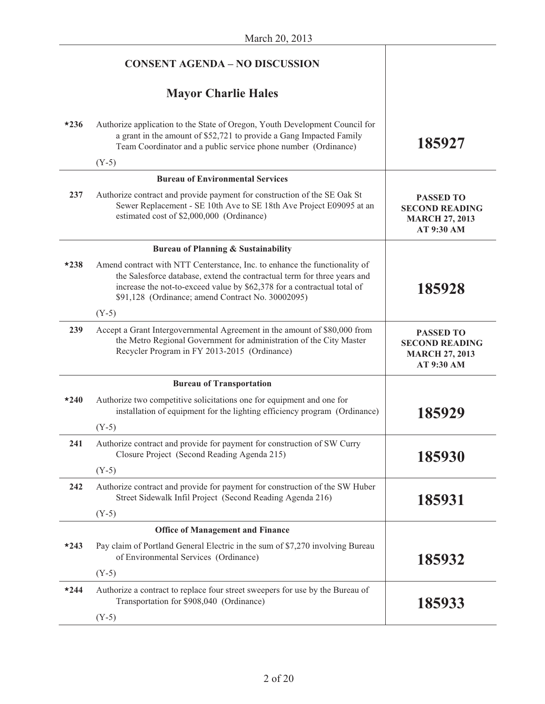|        | <b>CONSENT AGENDA - NO DISCUSSION</b>                                                                                                                                                                                                                                                  |                                                                                  |
|--------|----------------------------------------------------------------------------------------------------------------------------------------------------------------------------------------------------------------------------------------------------------------------------------------|----------------------------------------------------------------------------------|
|        | <b>Mayor Charlie Hales</b>                                                                                                                                                                                                                                                             |                                                                                  |
| $*236$ | Authorize application to the State of Oregon, Youth Development Council for<br>a grant in the amount of \$52,721 to provide a Gang Impacted Family<br>Team Coordinator and a public service phone number (Ordinance)                                                                   | 185927                                                                           |
|        | $(Y-5)$                                                                                                                                                                                                                                                                                |                                                                                  |
|        | <b>Bureau of Environmental Services</b>                                                                                                                                                                                                                                                |                                                                                  |
| 237    | Authorize contract and provide payment for construction of the SE Oak St<br>Sewer Replacement - SE 10th Ave to SE 18th Ave Project E09095 at an<br>estimated cost of \$2,000,000 (Ordinance)                                                                                           | <b>PASSED TO</b><br><b>SECOND READING</b><br><b>MARCH 27, 2013</b><br>AT 9:30 AM |
|        | <b>Bureau of Planning &amp; Sustainability</b>                                                                                                                                                                                                                                         |                                                                                  |
| $*238$ | Amend contract with NTT Centerstance, Inc. to enhance the functionality of<br>the Salesforce database, extend the contractual term for three years and<br>increase the not-to-exceed value by \$62,378 for a contractual total of<br>\$91,128 (Ordinance; amend Contract No. 30002095) | 185928                                                                           |
|        | $(Y-5)$                                                                                                                                                                                                                                                                                |                                                                                  |
| 239    | Accept a Grant Intergovernmental Agreement in the amount of \$80,000 from<br>the Metro Regional Government for administration of the City Master<br>Recycler Program in FY 2013-2015 (Ordinance)                                                                                       | <b>PASSED TO</b><br><b>SECOND READING</b><br><b>MARCH 27, 2013</b><br>AT 9:30 AM |
|        | <b>Bureau of Transportation</b>                                                                                                                                                                                                                                                        |                                                                                  |
| $*240$ | Authorize two competitive solicitations one for equipment and one for<br>installation of equipment for the lighting efficiency program (Ordinance)                                                                                                                                     | 185929                                                                           |
|        | $(Y-5)$                                                                                                                                                                                                                                                                                |                                                                                  |
| 241    | Authorize contract and provide for payment for construction of SW Curry<br>Closure Project (Second Reading Agenda 215)                                                                                                                                                                 | 185930                                                                           |
|        | $(Y-5)$                                                                                                                                                                                                                                                                                |                                                                                  |
| 242    | Authorize contract and provide for payment for construction of the SW Huber<br>Street Sidewalk Infil Project (Second Reading Agenda 216)                                                                                                                                               | 185931                                                                           |
|        | $(Y-5)$                                                                                                                                                                                                                                                                                |                                                                                  |
|        | <b>Office of Management and Finance</b>                                                                                                                                                                                                                                                |                                                                                  |
| $*243$ | Pay claim of Portland General Electric in the sum of \$7,270 involving Bureau<br>of Environmental Services (Ordinance)                                                                                                                                                                 | 185932                                                                           |
|        | $(Y-5)$                                                                                                                                                                                                                                                                                |                                                                                  |
| $*244$ | Authorize a contract to replace four street sweepers for use by the Bureau of<br>Transportation for \$908,040 (Ordinance)                                                                                                                                                              | 185933                                                                           |
|        | $(Y-5)$                                                                                                                                                                                                                                                                                |                                                                                  |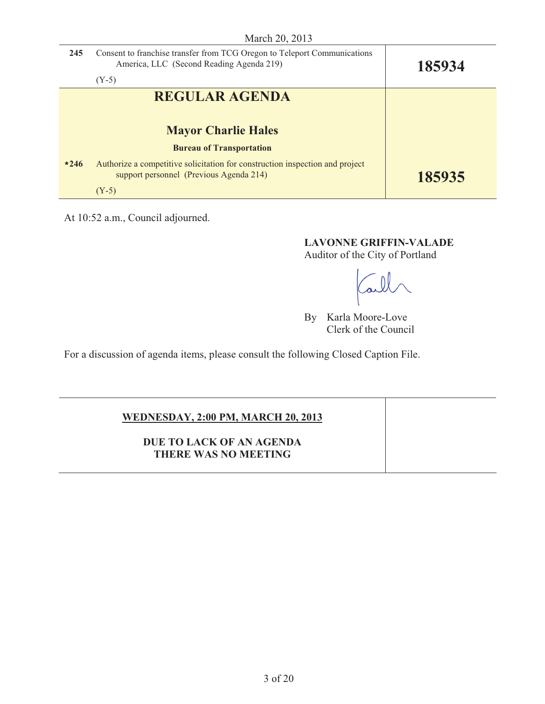| 245    | Consent to franchise transfer from TCG Oregon to Teleport Communications<br>America, LLC (Second Reading Agenda 219)<br>$(Y-5)$ | 185934 |
|--------|---------------------------------------------------------------------------------------------------------------------------------|--------|
|        | <b>REGULAR AGENDA</b>                                                                                                           |        |
|        | <b>Mayor Charlie Hales</b>                                                                                                      |        |
|        | <b>Bureau of Transportation</b>                                                                                                 |        |
| $*246$ | Authorize a competitive solicitation for construction inspection and project<br>support personnel (Previous Agenda 214)         | 185935 |
|        | $(Y-5)$                                                                                                                         |        |

At 10:52 a.m., Council adjourned.

**LAVONNE GRIFFIN-VALADE** 

Auditor of the City of Portland

all

By Karla Moore-Love Clerk of the Council

For a discussion of agenda items, please consult the following Closed Caption File.

# **WEDNESDAY, 2:00 PM, MARCH 20, 2013**

**DUE TO LACK OF AN AGENDA THERE WAS NO MEETING**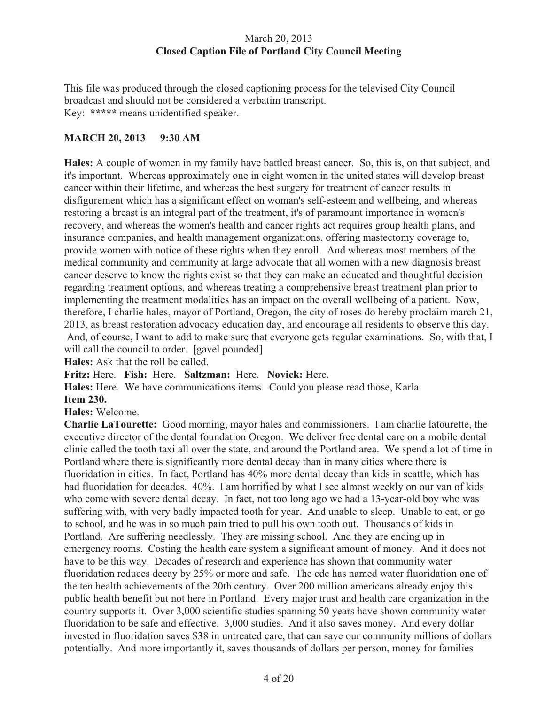# March 20, 2013 **Closed Caption File of Portland City Council Meeting**

This file was produced through the closed captioning process for the televised City Council broadcast and should not be considered a verbatim transcript. Key: **\*\*\*\*\*** means unidentified speaker.

# **MARCH 20, 2013 9:30 AM**

**Hales:** A couple of women in my family have battled breast cancer. So, this is, on that subject, and it's important. Whereas approximately one in eight women in the united states will develop breast cancer within their lifetime, and whereas the best surgery for treatment of cancer results in disfigurement which has a significant effect on woman's self-esteem and wellbeing, and whereas restoring a breast is an integral part of the treatment, it's of paramount importance in women's recovery, and whereas the women's health and cancer rights act requires group health plans, and insurance companies, and health management organizations, offering mastectomy coverage to, provide women with notice of these rights when they enroll. And whereas most members of the medical community and community at large advocate that all women with a new diagnosis breast cancer deserve to know the rights exist so that they can make an educated and thoughtful decision regarding treatment options, and whereas treating a comprehensive breast treatment plan prior to implementing the treatment modalities has an impact on the overall wellbeing of a patient. Now, therefore, I charlie hales, mayor of Portland, Oregon, the city of roses do hereby proclaim march 21, 2013, as breast restoration advocacy education day, and encourage all residents to observe this day. And, of course, I want to add to make sure that everyone gets regular examinations. So, with that, I will call the council to order. [gavel pounded]

**Hales:** Ask that the roll be called.

**Fritz:** Here. **Fish:** Here. **Saltzman:** Here. **Novick:** Here.

**Hales:** Here. We have communications items. Could you please read those, Karla.

#### **Item 230.**

**Hales:** Welcome.

**Charlie LaTourette:** Good morning, mayor hales and commissioners. I am charlie latourette, the executive director of the dental foundation Oregon. We deliver free dental care on a mobile dental clinic called the tooth taxi all over the state, and around the Portland area. We spend a lot of time in Portland where there is significantly more dental decay than in many cities where there is fluoridation in cities. In fact, Portland has 40% more dental decay than kids in seattle, which has had fluoridation for decades. 40%. I am horrified by what I see almost weekly on our van of kids who come with severe dental decay. In fact, not too long ago we had a 13-year-old boy who was suffering with, with very badly impacted tooth for year. And unable to sleep. Unable to eat, or go to school, and he was in so much pain tried to pull his own tooth out. Thousands of kids in Portland. Are suffering needlessly. They are missing school. And they are ending up in emergency rooms. Costing the health care system a significant amount of money. And it does not have to be this way. Decades of research and experience has shown that community water fluoridation reduces decay by 25% or more and safe. The cdc has named water fluoridation one of the ten health achievements of the 20th century. Over 200 million americans already enjoy this public health benefit but not here in Portland. Every major trust and health care organization in the country supports it. Over 3,000 scientific studies spanning 50 years have shown community water fluoridation to be safe and effective. 3,000 studies. And it also saves money. And every dollar invested in fluoridation saves \$38 in untreated care, that can save our community millions of dollars potentially. And more importantly it, saves thousands of dollars per person, money for families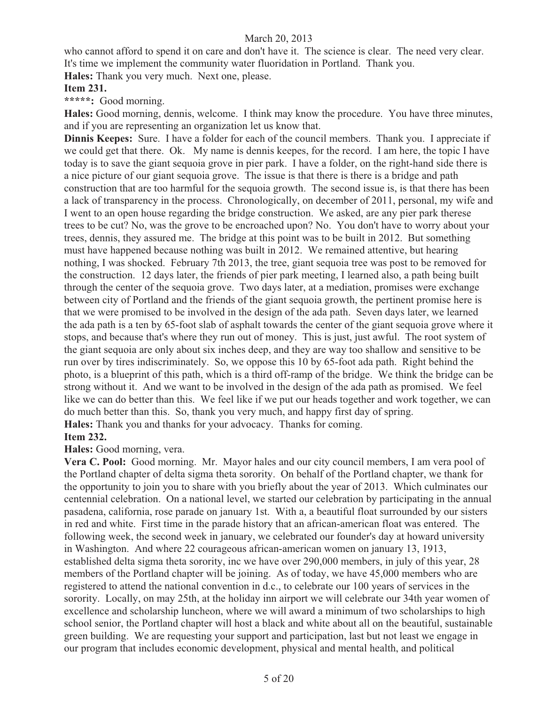who cannot afford to spend it on care and don't have it. The science is clear. The need very clear. It's time we implement the community water fluoridation in Portland. Thank you.

**Hales:** Thank you very much. Next one, please.

#### **Item 231.**

**\*\*\*\*\*:** Good morning.

**Hales:** Good morning, dennis, welcome. I think may know the procedure. You have three minutes, and if you are representing an organization let us know that.

**Dinnis Keepes:** Sure. I have a folder for each of the council members. Thank you. I appreciate if we could get that there. Ok. My name is dennis keepes, for the record. I am here, the topic I have today is to save the giant sequoia grove in pier park. I have a folder, on the right-hand side there is a nice picture of our giant sequoia grove. The issue is that there is there is a bridge and path construction that are too harmful for the sequoia growth. The second issue is, is that there has been a lack of transparency in the process. Chronologically, on december of 2011, personal, my wife and I went to an open house regarding the bridge construction. We asked, are any pier park therese trees to be cut? No, was the grove to be encroached upon? No. You don't have to worry about your trees, dennis, they assured me. The bridge at this point was to be built in 2012. But something must have happened because nothing was built in 2012. We remained attentive, but hearing nothing, I was shocked. February 7th 2013, the tree, giant sequoia tree was post to be removed for the construction. 12 days later, the friends of pier park meeting, I learned also, a path being built through the center of the sequoia grove. Two days later, at a mediation, promises were exchange between city of Portland and the friends of the giant sequoia growth, the pertinent promise here is that we were promised to be involved in the design of the ada path. Seven days later, we learned the ada path is a ten by 65-foot slab of asphalt towards the center of the giant sequoia grove where it stops, and because that's where they run out of money. This is just, just awful. The root system of the giant sequoia are only about six inches deep, and they are way too shallow and sensitive to be run over by tires indiscriminately. So, we oppose this 10 by 65-foot ada path. Right behind the photo, is a blueprint of this path, which is a third off-ramp of the bridge. We think the bridge can be strong without it. And we want to be involved in the design of the ada path as promised. We feel like we can do better than this. We feel like if we put our heads together and work together, we can do much better than this. So, thank you very much, and happy first day of spring. **Hales:** Thank you and thanks for your advocacy. Thanks for coming.

# **Item 232.**

**Hales:** Good morning, vera.

**Vera C. Pool:** Good morning. Mr. Mayor hales and our city council members, I am vera pool of the Portland chapter of delta sigma theta sorority. On behalf of the Portland chapter, we thank for the opportunity to join you to share with you briefly about the year of 2013. Which culminates our centennial celebration. On a national level, we started our celebration by participating in the annual pasadena, california, rose parade on january 1st. With a, a beautiful float surrounded by our sisters in red and white. First time in the parade history that an african-american float was entered. The following week, the second week in january, we celebrated our founder's day at howard university in Washington. And where 22 courageous african-american women on january 13, 1913, established delta sigma theta sorority, inc we have over 290,000 members, in july of this year, 28 members of the Portland chapter will be joining. As of today, we have 45,000 members who are registered to attend the national convention in d.c., to celebrate our 100 years of services in the sorority. Locally, on may 25th, at the holiday inn airport we will celebrate our 34th year women of excellence and scholarship luncheon, where we will award a minimum of two scholarships to high school senior, the Portland chapter will host a black and white about all on the beautiful, sustainable green building. We are requesting your support and participation, last but not least we engage in our program that includes economic development, physical and mental health, and political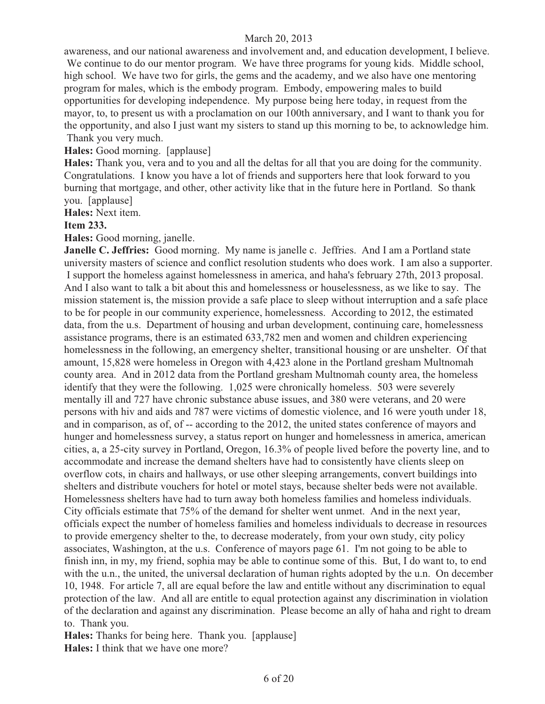awareness, and our national awareness and involvement and, and education development, I believe. We continue to do our mentor program. We have three programs for young kids. Middle school, high school. We have two for girls, the gems and the academy, and we also have one mentoring program for males, which is the embody program. Embody, empowering males to build opportunities for developing independence. My purpose being here today, in request from the mayor, to, to present us with a proclamation on our 100th anniversary, and I want to thank you for the opportunity, and also I just want my sisters to stand up this morning to be, to acknowledge him. Thank you very much.

#### **Hales:** Good morning. [applause]

**Hales:** Thank you, vera and to you and all the deltas for all that you are doing for the community. Congratulations. I know you have a lot of friends and supporters here that look forward to you burning that mortgage, and other, other activity like that in the future here in Portland. So thank you. [applause]

**Hales:** Next item.

#### **Item 233.**

**Hales:** Good morning, janelle.

**Janelle C. Jeffries:** Good morning. My name is janelle c. Jeffries. And I am a Portland state university masters of science and conflict resolution students who does work. I am also a supporter. I support the homeless against homelessness in america, and haha's february 27th, 2013 proposal. And I also want to talk a bit about this and homelessness or houselessness, as we like to say. The mission statement is, the mission provide a safe place to sleep without interruption and a safe place to be for people in our community experience, homelessness. According to 2012, the estimated data, from the u.s. Department of housing and urban development, continuing care, homelessness assistance programs, there is an estimated 633,782 men and women and children experiencing homelessness in the following, an emergency shelter, transitional housing or are unshelter. Of that amount, 15,828 were homeless in Oregon with 4,423 alone in the Portland gresham Multnomah county area. And in 2012 data from the Portland gresham Multnomah county area, the homeless identify that they were the following. 1,025 were chronically homeless. 503 were severely mentally ill and 727 have chronic substance abuse issues, and 380 were veterans, and 20 were persons with hiv and aids and 787 were victims of domestic violence, and 16 were youth under 18, and in comparison, as of, of -- according to the 2012, the united states conference of mayors and hunger and homelessness survey, a status report on hunger and homelessness in america, american cities, a, a 25-city survey in Portland, Oregon, 16.3% of people lived before the poverty line, and to accommodate and increase the demand shelters have had to consistently have clients sleep on overflow cots, in chairs and hallways, or use other sleeping arrangements, convert buildings into shelters and distribute vouchers for hotel or motel stays, because shelter beds were not available. Homelessness shelters have had to turn away both homeless families and homeless individuals. City officials estimate that 75% of the demand for shelter went unmet. And in the next year, officials expect the number of homeless families and homeless individuals to decrease in resources to provide emergency shelter to the, to decrease moderately, from your own study, city policy associates, Washington, at the u.s. Conference of mayors page 61. I'm not going to be able to finish inn, in my, my friend, sophia may be able to continue some of this. But, I do want to, to end with the u.n., the united, the universal declaration of human rights adopted by the u.n. On december 10, 1948. For article 7, all are equal before the law and entitle without any discrimination to equal protection of the law. And all are entitle to equal protection against any discrimination in violation of the declaration and against any discrimination. Please become an ally of haha and right to dream to. Thank you.

**Hales:** Thanks for being here. Thank you. [applause] **Hales:** I think that we have one more?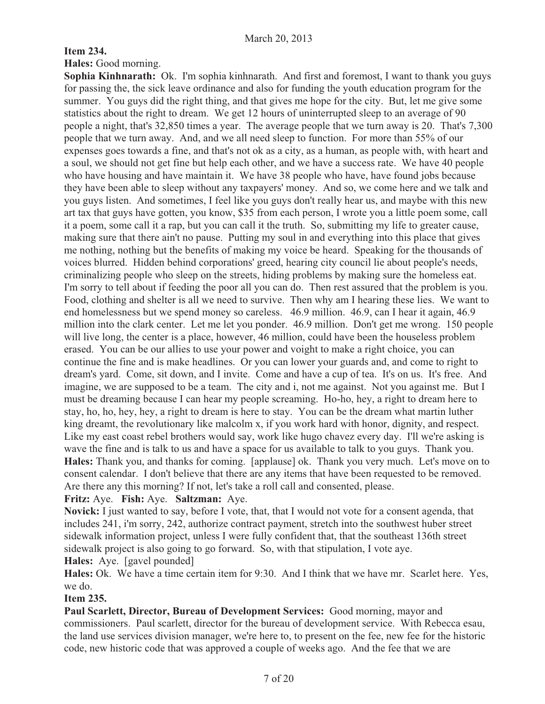# **Item 234.**

**Hales:** Good morning.

**Sophia Kinhnarath:** Ok. I'm sophia kinhnarath. And first and foremost, I want to thank you guys for passing the, the sick leave ordinance and also for funding the youth education program for the summer. You guys did the right thing, and that gives me hope for the city. But, let me give some statistics about the right to dream. We get 12 hours of uninterrupted sleep to an average of 90 people a night, that's 32,850 times a year. The average people that we turn away is 20. That's 7,300 people that we turn away. And, and we all need sleep to function. For more than 55% of our expenses goes towards a fine, and that's not ok as a city, as a human, as people with, with heart and a soul, we should not get fine but help each other, and we have a success rate. We have 40 people who have housing and have maintain it. We have 38 people who have, have found jobs because they have been able to sleep without any taxpayers' money. And so, we come here and we talk and you guys listen. And sometimes, I feel like you guys don't really hear us, and maybe with this new art tax that guys have gotten, you know, \$35 from each person, I wrote you a little poem some, call it a poem, some call it a rap, but you can call it the truth. So, submitting my life to greater cause, making sure that there ain't no pause. Putting my soul in and everything into this place that gives me nothing, nothing but the benefits of making my voice be heard. Speaking for the thousands of voices blurred. Hidden behind corporations' greed, hearing city council lie about people's needs, criminalizing people who sleep on the streets, hiding problems by making sure the homeless eat. I'm sorry to tell about if feeding the poor all you can do. Then rest assured that the problem is you. Food, clothing and shelter is all we need to survive. Then why am I hearing these lies. We want to end homelessness but we spend money so careless. 46.9 million. 46.9, can I hear it again, 46.9 million into the clark center. Let me let you ponder. 46.9 million. Don't get me wrong. 150 people will live long, the center is a place, however, 46 million, could have been the houseless problem erased. You can be our allies to use your power and voight to make a right choice, you can continue the fine and is make headlines. Or you can lower your guards and, and come to right to dream's yard. Come, sit down, and I invite. Come and have a cup of tea. It's on us. It's free. And imagine, we are supposed to be a team. The city and i, not me against. Not you against me. But I must be dreaming because I can hear my people screaming. Ho-ho, hey, a right to dream here to stay, ho, ho, hey, hey, a right to dream is here to stay. You can be the dream what martin luther king dreamt, the revolutionary like malcolm x, if you work hard with honor, dignity, and respect. Like my east coast rebel brothers would say, work like hugo chavez every day. I'll we're asking is wave the fine and is talk to us and have a space for us available to talk to you guys. Thank you. **Hales:** Thank you, and thanks for coming. [applause] ok. Thank you very much. Let's move on to consent calendar. I don't believe that there are any items that have been requested to be removed. Are there any this morning? If not, let's take a roll call and consented, please.

# **Fritz:** Aye. **Fish:** Aye. **Saltzman:** Aye.

**Novick:** I just wanted to say, before I vote, that, that I would not vote for a consent agenda, that includes 241, i'm sorry, 242, authorize contract payment, stretch into the southwest huber street sidewalk information project, unless I were fully confident that, that the southeast 136th street sidewalk project is also going to go forward. So, with that stipulation, I vote aye. **Hales:** Aye. [gavel pounded]

**Hales:** Ok. We have a time certain item for 9:30. And I think that we have mr. Scarlet here. Yes, we do.

# **Item 235.**

**Paul Scarlett, Director, Bureau of Development Services:** Good morning, mayor and commissioners. Paul scarlett, director for the bureau of development service. With Rebecca esau, the land use services division manager, we're here to, to present on the fee, new fee for the historic code, new historic code that was approved a couple of weeks ago. And the fee that we are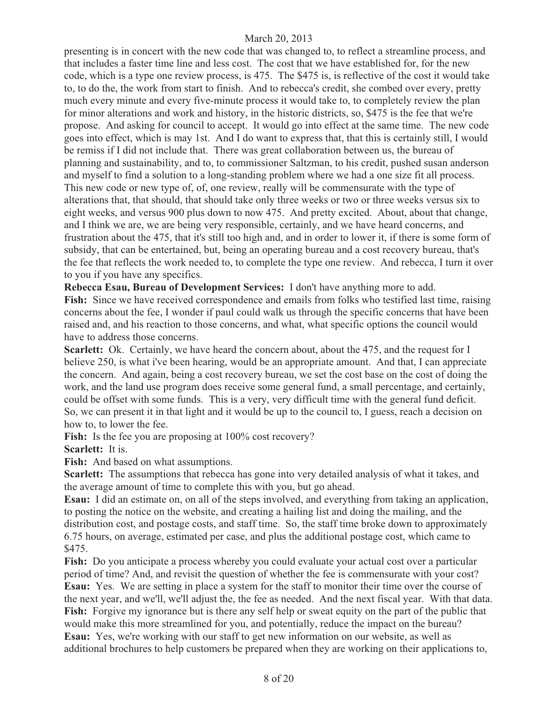presenting is in concert with the new code that was changed to, to reflect a streamline process, and that includes a faster time line and less cost. The cost that we have established for, for the new code, which is a type one review process, is 475. The \$475 is, is reflective of the cost it would take to, to do the, the work from start to finish. And to rebecca's credit, she combed over every, pretty much every minute and every five-minute process it would take to, to completely review the plan for minor alterations and work and history, in the historic districts, so, \$475 is the fee that we're propose. And asking for council to accept. It would go into effect at the same time. The new code goes into effect, which is may 1st. And I do want to express that, that this is certainly still, I would be remiss if I did not include that. There was great collaboration between us, the bureau of planning and sustainability, and to, to commissioner Saltzman, to his credit, pushed susan anderson and myself to find a solution to a long-standing problem where we had a one size fit all process. This new code or new type of, of, one review, really will be commensurate with the type of alterations that, that should, that should take only three weeks or two or three weeks versus six to eight weeks, and versus 900 plus down to now 475. And pretty excited. About, about that change, and I think we are, we are being very responsible, certainly, and we have heard concerns, and frustration about the 475, that it's still too high and, and in order to lower it, if there is some form of subsidy, that can be entertained, but, being an operating bureau and a cost recovery bureau, that's the fee that reflects the work needed to, to complete the type one review. And rebecca, I turn it over to you if you have any specifics.

**Rebecca Esau, Bureau of Development Services:** I don't have anything more to add.

**Fish:** Since we have received correspondence and emails from folks who testified last time, raising concerns about the fee, I wonder if paul could walk us through the specific concerns that have been raised and, and his reaction to those concerns, and what, what specific options the council would have to address those concerns.

**Scarlett:** Ok. Certainly, we have heard the concern about, about the 475, and the request for I believe 250, is what i've been hearing, would be an appropriate amount. And that, I can appreciate the concern. And again, being a cost recovery bureau, we set the cost base on the cost of doing the work, and the land use program does receive some general fund, a small percentage, and certainly, could be offset with some funds. This is a very, very difficult time with the general fund deficit. So, we can present it in that light and it would be up to the council to, I guess, reach a decision on how to, to lower the fee.

Fish: Is the fee you are proposing at  $100\%$  cost recovery?

**Scarlett:** It is.

**Fish:** And based on what assumptions.

**Scarlett:** The assumptions that rebecca has gone into very detailed analysis of what it takes, and the average amount of time to complete this with you, but go ahead.

**Esau:** I did an estimate on, on all of the steps involved, and everything from taking an application, to posting the notice on the website, and creating a hailing list and doing the mailing, and the distribution cost, and postage costs, and staff time. So, the staff time broke down to approximately 6.75 hours, on average, estimated per case, and plus the additional postage cost, which came to \$475.

**Fish:** Do you anticipate a process whereby you could evaluate your actual cost over a particular period of time? And, and revisit the question of whether the fee is commensurate with your cost? **Esau:** Yes. We are setting in place a system for the staff to monitor their time over the course of the next year, and we'll, we'll adjust the, the fee as needed. And the next fiscal year. With that data. **Fish:** Forgive my ignorance but is there any self help or sweat equity on the part of the public that would make this more streamlined for you, and potentially, reduce the impact on the bureau? **Esau:** Yes, we're working with our staff to get new information on our website, as well as additional brochures to help customers be prepared when they are working on their applications to,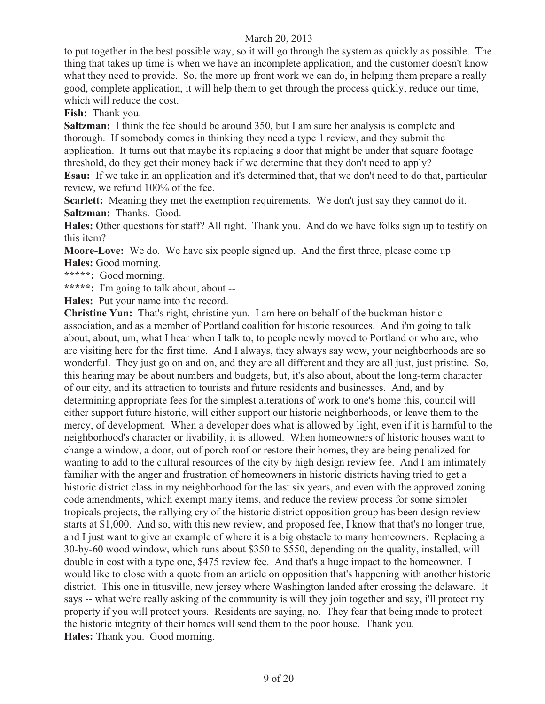to put together in the best possible way, so it will go through the system as quickly as possible. The thing that takes up time is when we have an incomplete application, and the customer doesn't know what they need to provide. So, the more up front work we can do, in helping them prepare a really good, complete application, it will help them to get through the process quickly, reduce our time, which will reduce the cost.

**Fish:** Thank you.

**Saltzman:** I think the fee should be around 350, but I am sure her analysis is complete and thorough. If somebody comes in thinking they need a type 1 review, and they submit the application. It turns out that maybe it's replacing a door that might be under that square footage threshold, do they get their money back if we determine that they don't need to apply?

**Esau:** If we take in an application and it's determined that, that we don't need to do that, particular review, we refund 100% of the fee.

**Scarlett:** Meaning they met the exemption requirements. We don't just say they cannot do it. **Saltzman:** Thanks. Good.

**Hales:** Other questions for staff? All right. Thank you. And do we have folks sign up to testify on this item?

**Moore-Love:** We do. We have six people signed up. And the first three, please come up **Hales:** Good morning.

**\*\*\*\*\*:** Good morning.

**\*\*\*\*\*:** I'm going to talk about, about --

**Hales:** Put your name into the record.

**Christine Yun:** That's right, christine yun. I am here on behalf of the buckman historic association, and as a member of Portland coalition for historic resources. And i'm going to talk about, about, um, what I hear when I talk to, to people newly moved to Portland or who are, who are visiting here for the first time. And I always, they always say wow, your neighborhoods are so wonderful. They just go on and on, and they are all different and they are all just, just pristine. So, this hearing may be about numbers and budgets, but, it's also about, about the long-term character of our city, and its attraction to tourists and future residents and businesses. And, and by determining appropriate fees for the simplest alterations of work to one's home this, council will either support future historic, will either support our historic neighborhoods, or leave them to the mercy, of development. When a developer does what is allowed by light, even if it is harmful to the neighborhood's character or livability, it is allowed. When homeowners of historic houses want to change a window, a door, out of porch roof or restore their homes, they are being penalized for wanting to add to the cultural resources of the city by high design review fee. And I am intimately familiar with the anger and frustration of homeowners in historic districts having tried to get a historic district class in my neighborhood for the last six years, and even with the approved zoning code amendments, which exempt many items, and reduce the review process for some simpler tropicals projects, the rallying cry of the historic district opposition group has been design review starts at \$1,000. And so, with this new review, and proposed fee, I know that that's no longer true, and I just want to give an example of where it is a big obstacle to many homeowners. Replacing a 30-by-60 wood window, which runs about \$350 to \$550, depending on the quality, installed, will double in cost with a type one, \$475 review fee. And that's a huge impact to the homeowner. I would like to close with a quote from an article on opposition that's happening with another historic district. This one in titusville, new jersey where Washington landed after crossing the delaware. It says -- what we're really asking of the community is will they join together and say, i'll protect my property if you will protect yours. Residents are saying, no. They fear that being made to protect the historic integrity of their homes will send them to the poor house. Thank you. **Hales:** Thank you. Good morning.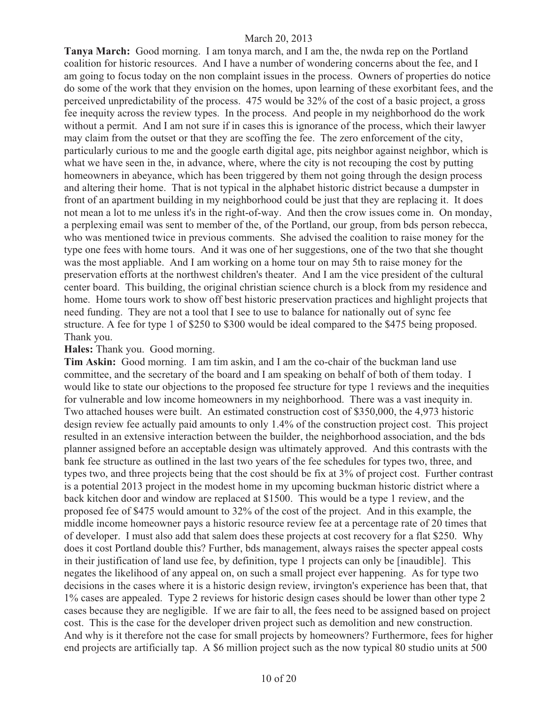**Tanya March:** Good morning. I am tonya march, and I am the, the nwda rep on the Portland coalition for historic resources. And I have a number of wondering concerns about the fee, and I am going to focus today on the non complaint issues in the process. Owners of properties do notice do some of the work that they envision on the homes, upon learning of these exorbitant fees, and the perceived unpredictability of the process. 475 would be 32% of the cost of a basic project, a gross fee inequity across the review types. In the process. And people in my neighborhood do the work without a permit. And I am not sure if in cases this is ignorance of the process, which their lawyer may claim from the outset or that they are scoffing the fee. The zero enforcement of the city, particularly curious to me and the google earth digital age, pits neighbor against neighbor, which is what we have seen in the, in advance, where, where the city is not recouping the cost by putting homeowners in abeyance, which has been triggered by them not going through the design process and altering their home. That is not typical in the alphabet historic district because a dumpster in front of an apartment building in my neighborhood could be just that they are replacing it. It does not mean a lot to me unless it's in the right-of-way. And then the crow issues come in. On monday, a perplexing email was sent to member of the, of the Portland, our group, from bds person rebecca, who was mentioned twice in previous comments. She advised the coalition to raise money for the type one fees with home tours. And it was one of her suggestions, one of the two that she thought was the most appliable. And I am working on a home tour on may 5th to raise money for the preservation efforts at the northwest children's theater. And I am the vice president of the cultural center board. This building, the original christian science church is a block from my residence and home. Home tours work to show off best historic preservation practices and highlight projects that need funding. They are not a tool that I see to use to balance for nationally out of sync fee structure. A fee for type 1 of \$250 to \$300 would be ideal compared to the \$475 being proposed. Thank you.

#### **Hales:** Thank you. Good morning.

**Tim Askin:** Good morning. I am tim askin, and I am the co-chair of the buckman land use committee, and the secretary of the board and I am speaking on behalf of both of them today. I would like to state our objections to the proposed fee structure for type 1 reviews and the inequities for vulnerable and low income homeowners in my neighborhood. There was a vast inequity in. Two attached houses were built. An estimated construction cost of \$350,000, the 4,973 historic design review fee actually paid amounts to only 1.4% of the construction project cost. This project resulted in an extensive interaction between the builder, the neighborhood association, and the bds planner assigned before an acceptable design was ultimately approved. And this contrasts with the bank fee structure as outlined in the last two years of the fee schedules for types two, three, and types two, and three projects being that the cost should be fix at 3% of project cost. Further contrast is a potential 2013 project in the modest home in my upcoming buckman historic district where a back kitchen door and window are replaced at \$1500. This would be a type 1 review, and the proposed fee of \$475 would amount to 32% of the cost of the project. And in this example, the middle income homeowner pays a historic resource review fee at a percentage rate of 20 times that of developer. I must also add that salem does these projects at cost recovery for a flat \$250. Why does it cost Portland double this? Further, bds management, always raises the specter appeal costs in their justification of land use fee, by definition, type 1 projects can only be [inaudible]. This negates the likelihood of any appeal on, on such a small project ever happening. As for type two decisions in the cases where it is a historic design review, irvington's experience has been that, that 1% cases are appealed. Type 2 reviews for historic design cases should be lower than other type 2 cases because they are negligible. If we are fair to all, the fees need to be assigned based on project cost. This is the case for the developer driven project such as demolition and new construction. And why is it therefore not the case for small projects by homeowners? Furthermore, fees for higher end projects are artificially tap. A \$6 million project such as the now typical 80 studio units at 500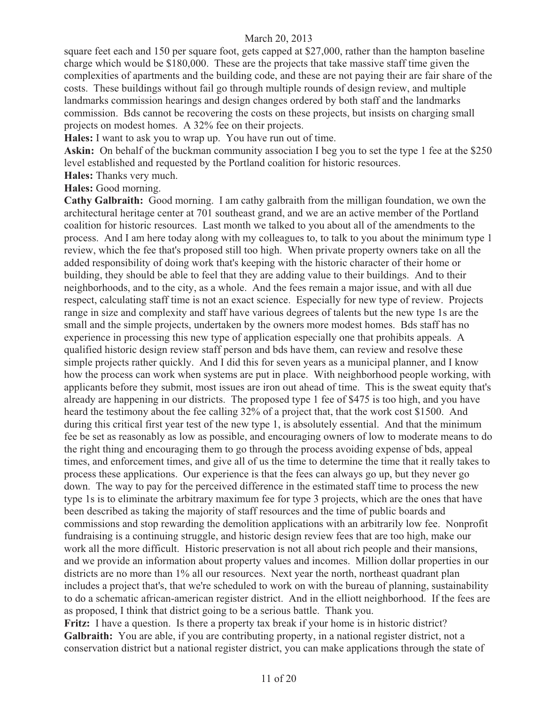square feet each and 150 per square foot, gets capped at \$27,000, rather than the hampton baseline charge which would be \$180,000. These are the projects that take massive staff time given the complexities of apartments and the building code, and these are not paying their are fair share of the costs. These buildings without fail go through multiple rounds of design review, and multiple landmarks commission hearings and design changes ordered by both staff and the landmarks commission. Bds cannot be recovering the costs on these projects, but insists on charging small projects on modest homes. A 32% fee on their projects.

**Hales:** I want to ask you to wrap up. You have run out of time.

Askin: On behalf of the buckman community association I beg you to set the type 1 fee at the \$250 level established and requested by the Portland coalition for historic resources.

**Hales:** Thanks very much.

#### **Hales:** Good morning.

**Cathy Galbraith:** Good morning. I am cathy galbraith from the milligan foundation, we own the architectural heritage center at 701 southeast grand, and we are an active member of the Portland coalition for historic resources. Last month we talked to you about all of the amendments to the process. And I am here today along with my colleagues to, to talk to you about the minimum type 1 review, which the fee that's proposed still too high. When private property owners take on all the added responsibility of doing work that's keeping with the historic character of their home or building, they should be able to feel that they are adding value to their buildings. And to their neighborhoods, and to the city, as a whole. And the fees remain a major issue, and with all due respect, calculating staff time is not an exact science. Especially for new type of review. Projects range in size and complexity and staff have various degrees of talents but the new type 1s are the small and the simple projects, undertaken by the owners more modest homes. Bds staff has no experience in processing this new type of application especially one that prohibits appeals. A qualified historic design review staff person and bds have them, can review and resolve these simple projects rather quickly. And I did this for seven years as a municipal planner, and I know how the process can work when systems are put in place. With neighborhood people working, with applicants before they submit, most issues are iron out ahead of time. This is the sweat equity that's already are happening in our districts. The proposed type 1 fee of \$475 is too high, and you have heard the testimony about the fee calling 32% of a project that, that the work cost \$1500. And during this critical first year test of the new type 1, is absolutely essential. And that the minimum fee be set as reasonably as low as possible, and encouraging owners of low to moderate means to do the right thing and encouraging them to go through the process avoiding expense of bds, appeal times, and enforcement times, and give all of us the time to determine the time that it really takes to process these applications. Our experience is that the fees can always go up, but they never go down. The way to pay for the perceived difference in the estimated staff time to process the new type 1s is to eliminate the arbitrary maximum fee for type 3 projects, which are the ones that have been described as taking the majority of staff resources and the time of public boards and commissions and stop rewarding the demolition applications with an arbitrarily low fee. Nonprofit fundraising is a continuing struggle, and historic design review fees that are too high, make our work all the more difficult. Historic preservation is not all about rich people and their mansions, and we provide an information about property values and incomes. Million dollar properties in our districts are no more than 1% all our resources. Next year the north, northeast quadrant plan includes a project that's, that we're scheduled to work on with the bureau of planning, sustainability to do a schematic african-american register district. And in the elliott neighborhood. If the fees are as proposed, I think that district going to be a serious battle. Thank you.

**Fritz:** I have a question. Is there a property tax break if your home is in historic district? **Galbraith:** You are able, if you are contributing property, in a national register district, not a conservation district but a national register district, you can make applications through the state of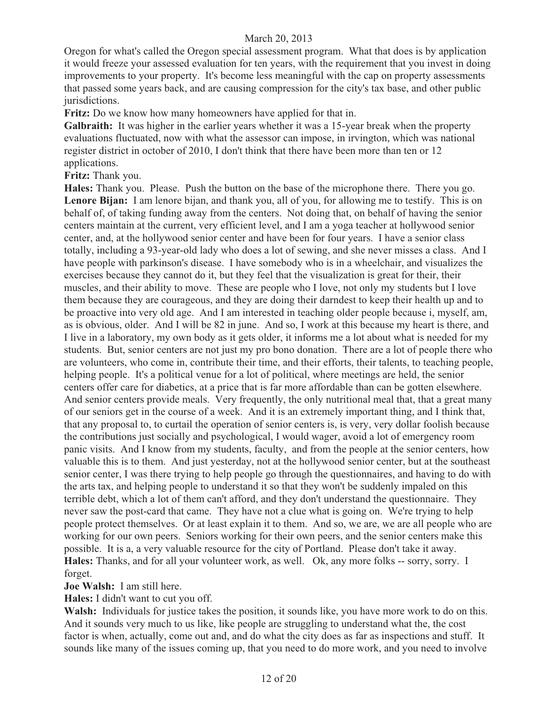Oregon for what's called the Oregon special assessment program. What that does is by application it would freeze your assessed evaluation for ten years, with the requirement that you invest in doing improvements to your property. It's become less meaningful with the cap on property assessments that passed some years back, and are causing compression for the city's tax base, and other public jurisdictions.

**Fritz:** Do we know how many homeowners have applied for that in.

**Galbraith:** It was higher in the earlier years whether it was a 15-year break when the property evaluations fluctuated, now with what the assessor can impose, in irvington, which was national register district in october of 2010, I don't think that there have been more than ten or 12 applications.

**Fritz:** Thank you.

**Hales:** Thank you. Please. Push the button on the base of the microphone there. There you go. **Lenore Bijan:** I am lenore bijan, and thank you, all of you, for allowing me to testify. This is on behalf of, of taking funding away from the centers. Not doing that, on behalf of having the senior centers maintain at the current, very efficient level, and I am a yoga teacher at hollywood senior center, and, at the hollywood senior center and have been for four years. I have a senior class totally, including a 93-year-old lady who does a lot of sewing, and she never misses a class. And I have people with parkinson's disease. I have somebody who is in a wheelchair, and visualizes the exercises because they cannot do it, but they feel that the visualization is great for their, their muscles, and their ability to move. These are people who I love, not only my students but I love them because they are courageous, and they are doing their darndest to keep their health up and to be proactive into very old age. And I am interested in teaching older people because i, myself, am, as is obvious, older. And I will be 82 in june. And so, I work at this because my heart is there, and I live in a laboratory, my own body as it gets older, it informs me a lot about what is needed for my students. But, senior centers are not just my pro bono donation. There are a lot of people there who are volunteers, who come in, contribute their time, and their efforts, their talents, to teaching people, helping people. It's a political venue for a lot of political, where meetings are held, the senior centers offer care for diabetics, at a price that is far more affordable than can be gotten elsewhere. And senior centers provide meals. Very frequently, the only nutritional meal that, that a great many of our seniors get in the course of a week. And it is an extremely important thing, and I think that, that any proposal to, to curtail the operation of senior centers is, is very, very dollar foolish because the contributions just socially and psychological, I would wager, avoid a lot of emergency room panic visits. And I know from my students, faculty, and from the people at the senior centers, how valuable this is to them. And just yesterday, not at the hollywood senior center, but at the southeast senior center, I was there trying to help people go through the questionnaires, and having to do with the arts tax, and helping people to understand it so that they won't be suddenly impaled on this terrible debt, which a lot of them can't afford, and they don't understand the questionnaire. They never saw the post-card that came. They have not a clue what is going on. We're trying to help people protect themselves. Or at least explain it to them. And so, we are, we are all people who are working for our own peers. Seniors working for their own peers, and the senior centers make this possible. It is a, a very valuable resource for the city of Portland. Please don't take it away. **Hales:** Thanks, and for all your volunteer work, as well. Ok, any more folks -- sorry, sorry. I forget.

**Joe Walsh:** I am still here.

**Hales:** I didn't want to cut you off.

**Walsh:** Individuals for justice takes the position, it sounds like, you have more work to do on this. And it sounds very much to us like, like people are struggling to understand what the, the cost factor is when, actually, come out and, and do what the city does as far as inspections and stuff. It sounds like many of the issues coming up, that you need to do more work, and you need to involve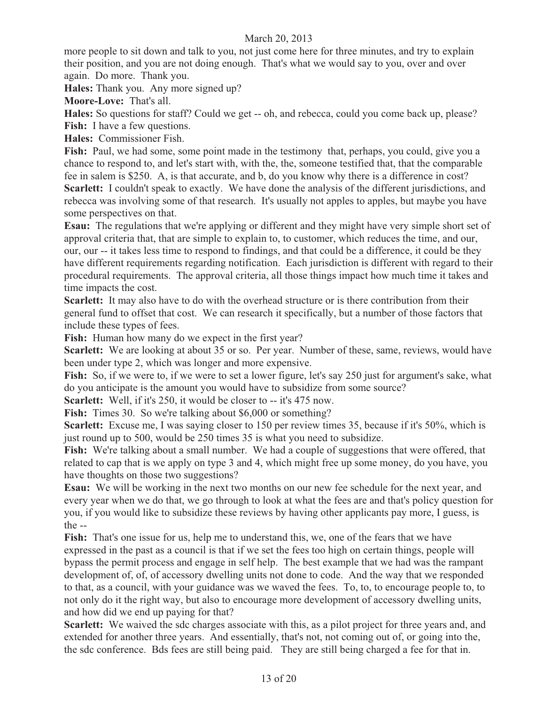more people to sit down and talk to you, not just come here for three minutes, and try to explain their position, and you are not doing enough. That's what we would say to you, over and over again. Do more. Thank you.

**Hales:** Thank you. Any more signed up?

**Moore-Love:** That's all.

**Hales:** So questions for staff? Could we get -- oh, and rebecca, could you come back up, please? **Fish:** I have a few questions.

**Hales:** Commissioner Fish.

**Fish:** Paul, we had some, some point made in the testimony that, perhaps, you could, give you a chance to respond to, and let's start with, with the, the, someone testified that, that the comparable fee in salem is \$250. A, is that accurate, and b, do you know why there is a difference in cost? **Scarlett:** I couldn't speak to exactly. We have done the analysis of the different jurisdictions, and rebecca was involving some of that research. It's usually not apples to apples, but maybe you have some perspectives on that.

**Esau:** The regulations that we're applying or different and they might have very simple short set of approval criteria that, that are simple to explain to, to customer, which reduces the time, and our, our, our -- it takes less time to respond to findings, and that could be a difference, it could be they have different requirements regarding notification. Each jurisdiction is different with regard to their procedural requirements. The approval criteria, all those things impact how much time it takes and time impacts the cost.

**Scarlett:** It may also have to do with the overhead structure or is there contribution from their general fund to offset that cost. We can research it specifically, but a number of those factors that include these types of fees.

**Fish:** Human how many do we expect in the first year?

**Scarlett:** We are looking at about 35 or so. Per year. Number of these, same, reviews, would have been under type 2, which was longer and more expensive.

Fish: So, if we were to, if we were to set a lower figure, let's say 250 just for argument's sake, what do you anticipate is the amount you would have to subsidize from some source?

**Scarlett:** Well, if it's 250, it would be closer to -- it's 475 now.

**Fish:** Times 30. So we're talking about \$6,000 or something?

**Scarlett:** Excuse me, I was saying closer to 150 per review times 35, because if it's 50%, which is just round up to 500, would be 250 times 35 is what you need to subsidize.

Fish: We're talking about a small number. We had a couple of suggestions that were offered, that related to cap that is we apply on type 3 and 4, which might free up some money, do you have, you have thoughts on those two suggestions?

**Esau:** We will be working in the next two months on our new fee schedule for the next year, and every year when we do that, we go through to look at what the fees are and that's policy question for you, if you would like to subsidize these reviews by having other applicants pay more, I guess, is the --

**Fish:** That's one issue for us, help me to understand this, we, one of the fears that we have expressed in the past as a council is that if we set the fees too high on certain things, people will bypass the permit process and engage in self help. The best example that we had was the rampant development of, of, of accessory dwelling units not done to code. And the way that we responded to that, as a council, with your guidance was we waved the fees. To, to, to encourage people to, to not only do it the right way, but also to encourage more development of accessory dwelling units, and how did we end up paying for that?

**Scarlett:** We waived the sdc charges associate with this, as a pilot project for three years and, and extended for another three years. And essentially, that's not, not coming out of, or going into the, the sdc conference. Bds fees are still being paid. They are still being charged a fee for that in.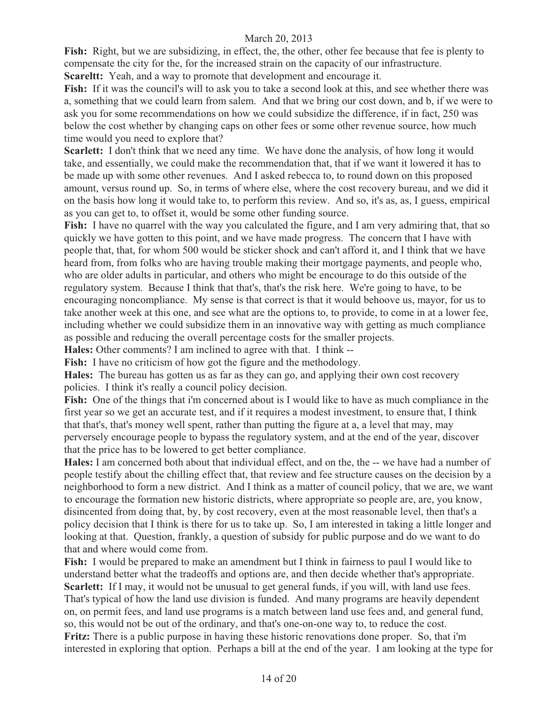Fish: Right, but we are subsidizing, in effect, the, the other, other fee because that fee is plenty to compensate the city for the, for the increased strain on the capacity of our infrastructure.

**Scareltt:** Yeah, and a way to promote that development and encourage it.

**Fish:** If it was the council's will to ask you to take a second look at this, and see whether there was a, something that we could learn from salem. And that we bring our cost down, and b, if we were to ask you for some recommendations on how we could subsidize the difference, if in fact, 250 was below the cost whether by changing caps on other fees or some other revenue source, how much time would you need to explore that?

**Scarlett:** I don't think that we need any time. We have done the analysis, of how long it would take, and essentially, we could make the recommendation that, that if we want it lowered it has to be made up with some other revenues. And I asked rebecca to, to round down on this proposed amount, versus round up. So, in terms of where else, where the cost recovery bureau, and we did it on the basis how long it would take to, to perform this review. And so, it's as, as, I guess, empirical as you can get to, to offset it, would be some other funding source.

**Fish:** I have no quarrel with the way you calculated the figure, and I am very admiring that, that so quickly we have gotten to this point, and we have made progress. The concern that I have with people that, that, for whom 500 would be sticker shock and can't afford it, and I think that we have heard from, from folks who are having trouble making their mortgage payments, and people who, who are older adults in particular, and others who might be encourage to do this outside of the regulatory system. Because I think that that's, that's the risk here. We're going to have, to be encouraging noncompliance. My sense is that correct is that it would behoove us, mayor, for us to take another week at this one, and see what are the options to, to provide, to come in at a lower fee, including whether we could subsidize them in an innovative way with getting as much compliance as possible and reducing the overall percentage costs for the smaller projects.

**Hales:** Other comments? I am inclined to agree with that. I think --

Fish: I have no criticism of how got the figure and the methodology.

**Hales:** The bureau has gotten us as far as they can go, and applying their own cost recovery policies. I think it's really a council policy decision.

**Fish:** One of the things that i'm concerned about is I would like to have as much compliance in the first year so we get an accurate test, and if it requires a modest investment, to ensure that, I think that that's, that's money well spent, rather than putting the figure at a, a level that may, may perversely encourage people to bypass the regulatory system, and at the end of the year, discover that the price has to be lowered to get better compliance.

**Hales:** I am concerned both about that individual effect, and on the, the -- we have had a number of people testify about the chilling effect that, that review and fee structure causes on the decision by a neighborhood to form a new district. And I think as a matter of council policy, that we are, we want to encourage the formation new historic districts, where appropriate so people are, are, you know, disincented from doing that, by, by cost recovery, even at the most reasonable level, then that's a policy decision that I think is there for us to take up. So, I am interested in taking a little longer and looking at that. Question, frankly, a question of subsidy for public purpose and do we want to do that and where would come from.

**Fish:** I would be prepared to make an amendment but I think in fairness to paul I would like to understand better what the tradeoffs and options are, and then decide whether that's appropriate. Scarlett: If I may, it would not be unusual to get general funds, if you will, with land use fees. That's typical of how the land use division is funded. And many programs are heavily dependent on, on permit fees, and land use programs is a match between land use fees and, and general fund, so, this would not be out of the ordinary, and that's one-on-one way to, to reduce the cost. **Fritz:** There is a public purpose in having these historic renovations done proper. So, that i'm interested in exploring that option. Perhaps a bill at the end of the year. I am looking at the type for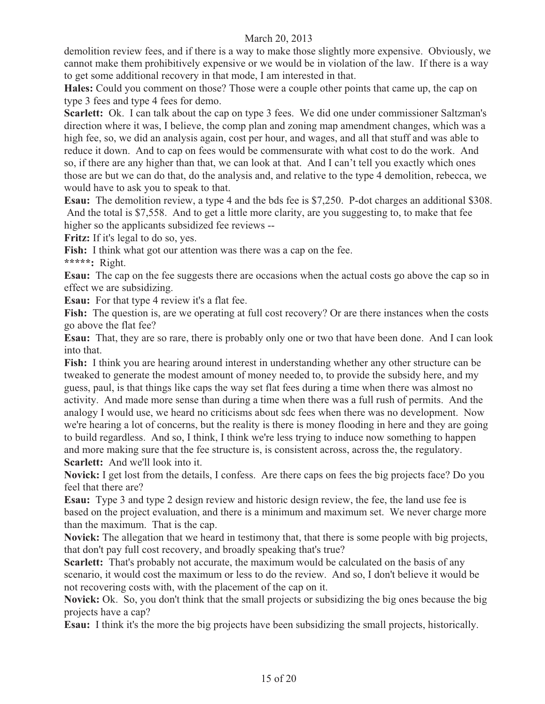demolition review fees, and if there is a way to make those slightly more expensive. Obviously, we cannot make them prohibitively expensive or we would be in violation of the law. If there is a way to get some additional recovery in that mode, I am interested in that.

**Hales:** Could you comment on those? Those were a couple other points that came up, the cap on type 3 fees and type 4 fees for demo.

**Scarlett:** Ok. I can talk about the cap on type 3 fees. We did one under commissioner Saltzman's direction where it was, I believe, the comp plan and zoning map amendment changes, which was a high fee, so, we did an analysis again, cost per hour, and wages, and all that stuff and was able to reduce it down. And to cap on fees would be commensurate with what cost to do the work. And so, if there are any higher than that, we can look at that. And I can't tell you exactly which ones those are but we can do that, do the analysis and, and relative to the type 4 demolition, rebecca, we would have to ask you to speak to that.

**Esau:** The demolition review, a type 4 and the bds fee is \$7,250. P-dot charges an additional \$308. And the total is \$7,558. And to get a little more clarity, are you suggesting to, to make that fee higher so the applicants subsidized fee reviews --

**Fritz:** If it's legal to do so, yes.

**Fish:** I think what got our attention was there was a cap on the fee.

**\*\*\*\*\*:** Right.

**Esau:** The cap on the fee suggests there are occasions when the actual costs go above the cap so in effect we are subsidizing.

**Esau:** For that type 4 review it's a flat fee.

Fish: The question is, are we operating at full cost recovery? Or are there instances when the costs go above the flat fee?

**Esau:** That, they are so rare, there is probably only one or two that have been done. And I can look into that.

**Fish:** I think you are hearing around interest in understanding whether any other structure can be tweaked to generate the modest amount of money needed to, to provide the subsidy here, and my guess, paul, is that things like caps the way set flat fees during a time when there was almost no activity. And made more sense than during a time when there was a full rush of permits. And the analogy I would use, we heard no criticisms about sdc fees when there was no development. Now we're hearing a lot of concerns, but the reality is there is money flooding in here and they are going to build regardless. And so, I think, I think we're less trying to induce now something to happen and more making sure that the fee structure is, is consistent across, across the, the regulatory. **Scarlett:** And we'll look into it.

**Novick:** I get lost from the details, I confess. Are there caps on fees the big projects face? Do you feel that there are?

**Esau:** Type 3 and type 2 design review and historic design review, the fee, the land use fee is based on the project evaluation, and there is a minimum and maximum set. We never charge more than the maximum. That is the cap.

**Novick:** The allegation that we heard in testimony that, that there is some people with big projects, that don't pay full cost recovery, and broadly speaking that's true?

**Scarlett:** That's probably not accurate, the maximum would be calculated on the basis of any scenario, it would cost the maximum or less to do the review. And so, I don't believe it would be not recovering costs with, with the placement of the cap on it.

**Novick:** Ok. So, you don't think that the small projects or subsidizing the big ones because the big projects have a cap?

**Esau:** I think it's the more the big projects have been subsidizing the small projects, historically.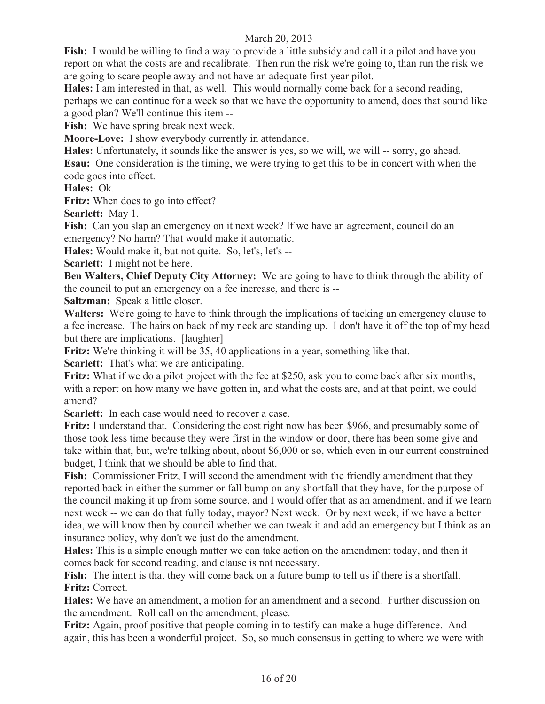**Fish:** I would be willing to find a way to provide a little subsidy and call it a pilot and have you report on what the costs are and recalibrate. Then run the risk we're going to, than run the risk we are going to scare people away and not have an adequate first-year pilot.

**Hales:** I am interested in that, as well. This would normally come back for a second reading, perhaps we can continue for a week so that we have the opportunity to amend, does that sound like a good plan? We'll continue this item --

**Fish:** We have spring break next week.

**Moore-Love:** I show everybody currently in attendance.

**Hales:** Unfortunately, it sounds like the answer is yes, so we will, we will -- sorry, go ahead. **Esau:** One consideration is the timing, we were trying to get this to be in concert with when the code goes into effect.

**Hales:** Ok.

**Fritz:** When does to go into effect?

**Scarlett:** May 1.

**Fish:** Can you slap an emergency on it next week? If we have an agreement, council do an emergency? No harm? That would make it automatic.

**Hales:** Would make it, but not quite. So, let's, let's --

**Scarlett:** I might not be here.

**Ben Walters, Chief Deputy City Attorney:** We are going to have to think through the ability of the council to put an emergency on a fee increase, and there is --

**Saltzman:** Speak a little closer.

**Walters:** We're going to have to think through the implications of tacking an emergency clause to a fee increase. The hairs on back of my neck are standing up. I don't have it off the top of my head but there are implications. [laughter]

**Fritz:** We're thinking it will be 35, 40 applications in a year, something like that.

**Scarlett:** That's what we are anticipating.

**Fritz:** What if we do a pilot project with the fee at \$250, ask you to come back after six months, with a report on how many we have gotten in, and what the costs are, and at that point, we could amend?

**Scarlett:** In each case would need to recover a case.

**Fritz:** I understand that. Considering the cost right now has been \$966, and presumably some of those took less time because they were first in the window or door, there has been some give and take within that, but, we're talking about, about \$6,000 or so, which even in our current constrained budget, I think that we should be able to find that.

**Fish:** Commissioner Fritz, I will second the amendment with the friendly amendment that they reported back in either the summer or fall bump on any shortfall that they have, for the purpose of the council making it up from some source, and I would offer that as an amendment, and if we learn next week -- we can do that fully today, mayor? Next week. Or by next week, if we have a better idea, we will know then by council whether we can tweak it and add an emergency but I think as an insurance policy, why don't we just do the amendment.

**Hales:** This is a simple enough matter we can take action on the amendment today, and then it comes back for second reading, and clause is not necessary.

**Fish:** The intent is that they will come back on a future bump to tell us if there is a shortfall. **Fritz:** Correct.

**Hales:** We have an amendment, a motion for an amendment and a second. Further discussion on the amendment. Roll call on the amendment, please.

**Fritz:** Again, proof positive that people coming in to testify can make a huge difference. And again, this has been a wonderful project. So, so much consensus in getting to where we were with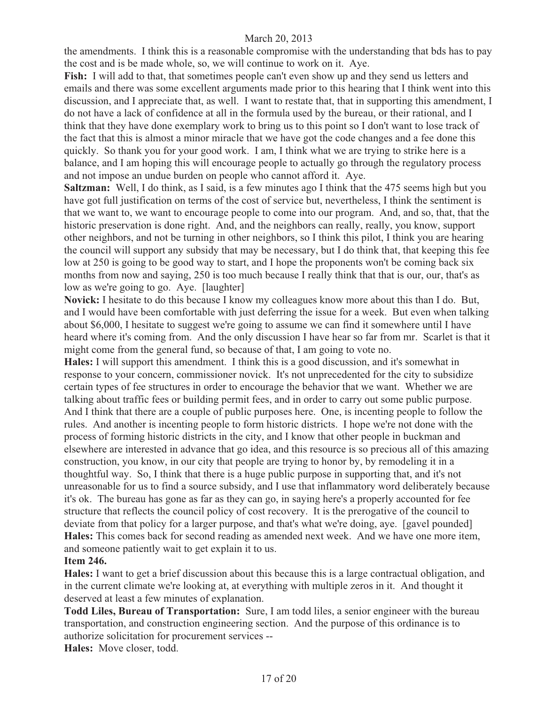the amendments. I think this is a reasonable compromise with the understanding that bds has to pay the cost and is be made whole, so, we will continue to work on it. Aye.

**Fish:** I will add to that, that sometimes people can't even show up and they send us letters and emails and there was some excellent arguments made prior to this hearing that I think went into this discussion, and I appreciate that, as well. I want to restate that, that in supporting this amendment, I do not have a lack of confidence at all in the formula used by the bureau, or their rational, and I think that they have done exemplary work to bring us to this point so I don't want to lose track of the fact that this is almost a minor miracle that we have got the code changes and a fee done this quickly. So thank you for your good work. I am, I think what we are trying to strike here is a balance, and I am hoping this will encourage people to actually go through the regulatory process and not impose an undue burden on people who cannot afford it. Aye.

**Saltzman:** Well, I do think, as I said, is a few minutes ago I think that the 475 seems high but you have got full justification on terms of the cost of service but, nevertheless, I think the sentiment is that we want to, we want to encourage people to come into our program. And, and so, that, that the historic preservation is done right. And, and the neighbors can really, really, you know, support other neighbors, and not be turning in other neighbors, so I think this pilot, I think you are hearing the council will support any subsidy that may be necessary, but I do think that, that keeping this fee low at 250 is going to be good way to start, and I hope the proponents won't be coming back six months from now and saying, 250 is too much because I really think that that is our, our, that's as low as we're going to go. Aye. [laughter]

**Novick:** I hesitate to do this because I know my colleagues know more about this than I do. But, and I would have been comfortable with just deferring the issue for a week. But even when talking about \$6,000, I hesitate to suggest we're going to assume we can find it somewhere until I have heard where it's coming from. And the only discussion I have hear so far from mr. Scarlet is that it might come from the general fund, so because of that, I am going to vote no.

**Hales:** I will support this amendment. I think this is a good discussion, and it's somewhat in response to your concern, commissioner novick. It's not unprecedented for the city to subsidize certain types of fee structures in order to encourage the behavior that we want. Whether we are talking about traffic fees or building permit fees, and in order to carry out some public purpose. And I think that there are a couple of public purposes here. One, is incenting people to follow the rules. And another is incenting people to form historic districts. I hope we're not done with the process of forming historic districts in the city, and I know that other people in buckman and elsewhere are interested in advance that go idea, and this resource is so precious all of this amazing construction, you know, in our city that people are trying to honor by, by remodeling it in a thoughtful way. So, I think that there is a huge public purpose in supporting that, and it's not unreasonable for us to find a source subsidy, and I use that inflammatory word deliberately because it's ok. The bureau has gone as far as they can go, in saying here's a properly accounted for fee structure that reflects the council policy of cost recovery. It is the prerogative of the council to deviate from that policy for a larger purpose, and that's what we're doing, aye. [gavel pounded] **Hales:** This comes back for second reading as amended next week. And we have one more item, and someone patiently wait to get explain it to us.

# **Item 246.**

**Hales:** I want to get a brief discussion about this because this is a large contractual obligation, and in the current climate we're looking at, at everything with multiple zeros in it. And thought it deserved at least a few minutes of explanation.

**Todd Liles, Bureau of Transportation:** Sure, I am todd liles, a senior engineer with the bureau transportation, and construction engineering section. And the purpose of this ordinance is to authorize solicitation for procurement services --

**Hales:** Move closer, todd.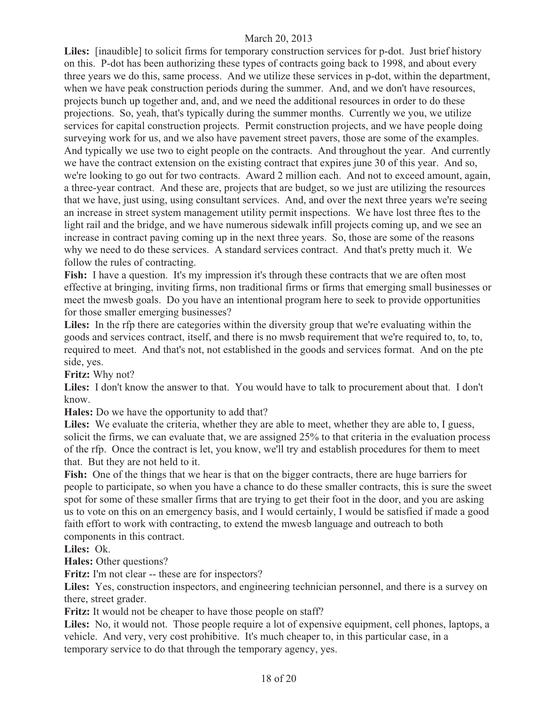**Liles:** [inaudible] to solicit firms for temporary construction services for p-dot. Just brief history on this. P-dot has been authorizing these types of contracts going back to 1998, and about every three years we do this, same process. And we utilize these services in p-dot, within the department, when we have peak construction periods during the summer. And, and we don't have resources, projects bunch up together and, and, and we need the additional resources in order to do these projections. So, yeah, that's typically during the summer months. Currently we you, we utilize services for capital construction projects. Permit construction projects, and we have people doing surveying work for us, and we also have pavement street pavers, those are some of the examples. And typically we use two to eight people on the contracts. And throughout the year. And currently we have the contract extension on the existing contract that expires june 30 of this year. And so, we're looking to go out for two contracts. Award 2 million each. And not to exceed amount, again, a three-year contract. And these are, projects that are budget, so we just are utilizing the resources that we have, just using, using consultant services. And, and over the next three years we're seeing an increase in street system management utility permit inspections. We have lost three ftes to the light rail and the bridge, and we have numerous sidewalk infill projects coming up, and we see an increase in contract paving coming up in the next three years. So, those are some of the reasons why we need to do these services. A standard services contract. And that's pretty much it. We follow the rules of contracting.

Fish: I have a question. It's my impression it's through these contracts that we are often most effective at bringing, inviting firms, non traditional firms or firms that emerging small businesses or meet the mwesb goals. Do you have an intentional program here to seek to provide opportunities for those smaller emerging businesses?

**Liles:** In the rfp there are categories within the diversity group that we're evaluating within the goods and services contract, itself, and there is no mwsb requirement that we're required to, to, to, required to meet. And that's not, not established in the goods and services format. And on the pte side, yes.

**Fritz:** Why not?

**Liles:** I don't know the answer to that. You would have to talk to procurement about that. I don't know.

**Hales:** Do we have the opportunity to add that?

Liles: We evaluate the criteria, whether they are able to meet, whether they are able to, I guess, solicit the firms, we can evaluate that, we are assigned 25% to that criteria in the evaluation process of the rfp. Once the contract is let, you know, we'll try and establish procedures for them to meet that. But they are not held to it.

**Fish:** One of the things that we hear is that on the bigger contracts, there are huge barriers for people to participate, so when you have a chance to do these smaller contracts, this is sure the sweet spot for some of these smaller firms that are trying to get their foot in the door, and you are asking us to vote on this on an emergency basis, and I would certainly, I would be satisfied if made a good faith effort to work with contracting, to extend the mwesb language and outreach to both components in this contract.

**Liles:** Ok.

**Hales:** Other questions?

**Fritz:** I'm not clear -- these are for inspectors?

**Liles:** Yes, construction inspectors, and engineering technician personnel, and there is a survey on there, street grader.

**Fritz:** It would not be cheaper to have those people on staff?

**Liles:** No, it would not. Those people require a lot of expensive equipment, cell phones, laptops, a vehicle. And very, very cost prohibitive. It's much cheaper to, in this particular case, in a temporary service to do that through the temporary agency, yes.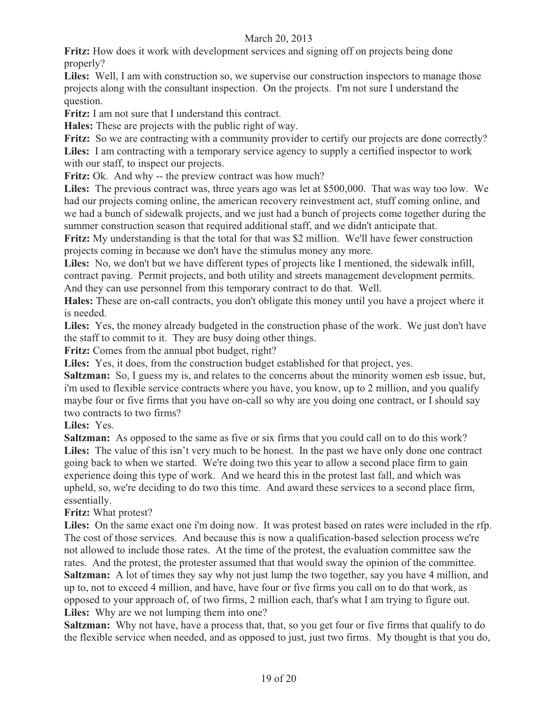**Fritz:** How does it work with development services and signing off on projects being done properly?

**Liles:** Well, I am with construction so, we supervise our construction inspectors to manage those projects along with the consultant inspection. On the projects. I'm not sure I understand the question.

**Fritz:** I am not sure that I understand this contract.

**Hales:** These are projects with the public right of way.

**Fritz:** So we are contracting with a community provider to certify our projects are done correctly? **Liles:** I am contracting with a temporary service agency to supply a certified inspector to work with our staff, to inspect our projects.

Fritz: Ok. And why -- the preview contract was how much?

**Liles:** The previous contract was, three years ago was let at \$500,000. That was way too low. We had our projects coming online, the american recovery reinvestment act, stuff coming online, and we had a bunch of sidewalk projects, and we just had a bunch of projects come together during the summer construction season that required additional staff, and we didn't anticipate that.

**Fritz:** My understanding is that the total for that was \$2 million. We'll have fewer construction projects coming in because we don't have the stimulus money any more.

**Liles:** No, we don't but we have different types of projects like I mentioned, the sidewalk infill, contract paving. Permit projects, and both utility and streets management development permits. And they can use personnel from this temporary contract to do that. Well.

**Hales:** These are on-call contracts, you don't obligate this money until you have a project where it is needed.

**Liles:** Yes, the money already budgeted in the construction phase of the work. We just don't have the staff to commit to it. They are busy doing other things.

**Fritz:** Comes from the annual pbot budget, right?

Liles: Yes, it does, from the construction budget established for that project, yes.

**Saltzman:** So, I guess my is, and relates to the concerns about the minority women esb issue, but, i'm used to flexible service contracts where you have, you know, up to 2 million, and you qualify maybe four or five firms that you have on-call so why are you doing one contract, or I should say two contracts to two firms?

**Liles:** Yes.

**Saltzman:** As opposed to the same as five or six firms that you could call on to do this work? Liles: The value of this isn't very much to be honest. In the past we have only done one contract going back to when we started. We're doing two this year to allow a second place firm to gain experience doing this type of work. And we heard this in the protest last fall, and which was upheld, so, we're deciding to do two this time. And award these services to a second place firm, essentially.

**Fritz:** What protest?

**Liles:** On the same exact one i'm doing now. It was protest based on rates were included in the rfp. The cost of those services. And because this is now a qualification-based selection process we're not allowed to include those rates. At the time of the protest, the evaluation committee saw the rates. And the protest, the protester assumed that that would sway the opinion of the committee. **Saltzman:** A lot of times they say why not just lump the two together, say you have 4 million, and up to, not to exceed 4 million, and have, have four or five firms you call on to do that work, as opposed to your approach of, of two firms, 2 million each, that's what I am trying to figure out. **Liles:** Why are we not lumping them into one?

**Saltzman:** Why not have, have a process that, that, so you get four or five firms that qualify to do the flexible service when needed, and as opposed to just, just two firms. My thought is that you do,